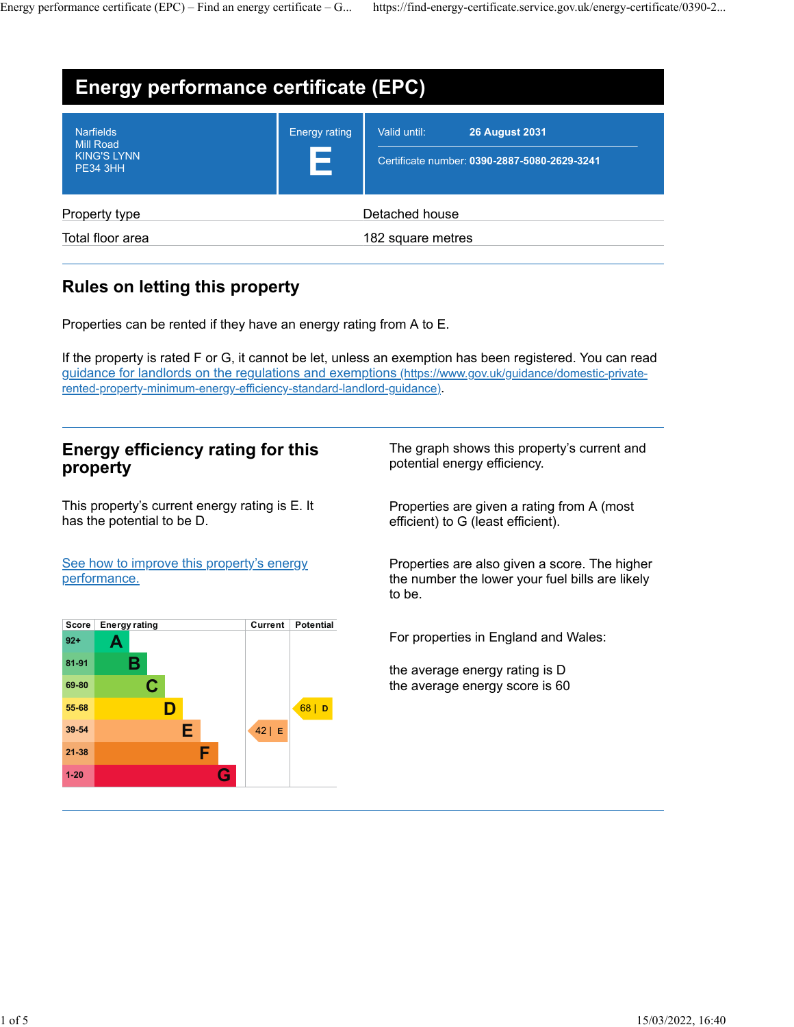Energy performance certificate (EPC) – Find an energy certificate – G... https://find-energy-certificate.service.gov.uk/energy-certificate/0390-2...

| <b>Energy performance certificate (EPC)</b>                                   |                           |                                                                                       |
|-------------------------------------------------------------------------------|---------------------------|---------------------------------------------------------------------------------------|
| <b>Narfields</b><br><b>Mill Road</b><br><b>KING'S LYNN</b><br><b>PE34 3HH</b> | <b>Energy rating</b><br>Е | <b>26 August 2031</b><br>Valid until:<br>Certificate number: 0390-2887-5080-2629-3241 |
| Detached house<br>Property type                                               |                           |                                                                                       |
| Total floor area                                                              | 182 square metres         |                                                                                       |

# **Rules on letting this property**

Properties can be rented if they have an energy rating from A to E.

If the property is rated F or G, it cannot be let, unless an exemption has been registered. You can read [guidance for landlords on the regulations and exemptions \(https://www.gov.uk/guidance/domestic-private](https://www.gov.uk/guidance/domestic-private-rented-property-minimum-energy-efficiency-standard-landlord-guidance)[rented-property-minimum-energy-efficiency-standard-landlord-guidance\).](https://www.gov.uk/guidance/domestic-private-rented-property-minimum-energy-efficiency-standard-landlord-guidance)

## **Energy efficiency rating for this property**

This property's current energy rating is E. It has the potential to be D.

The graph shows this property's current and potential energy efficiency.

Properties are given a rating from A (most efficient) to G (least efficient).

[See how to improve this property's energy](https://find-energy-certificate.service.gov.uk/energy-certificate/0390-2887-5080-2629-3241?print=true#recommendations) [performance.](https://find-energy-certificate.service.gov.uk/energy-certificate/0390-2887-5080-2629-3241?print=true#recommendations)

| Score     | <b>Energy rating</b> | Current  | <b>Potential</b> |
|-----------|----------------------|----------|------------------|
| $92 +$    | А                    |          |                  |
| $81 - 91$ | в                    |          |                  |
| 69-80     | C.                   |          |                  |
| 55-68     |                      |          | 68 D             |
| 39-54     | E                    | $42$   E |                  |
| $21 - 38$ |                      | F        |                  |
| $1 - 20$  |                      | G        |                  |

Properties are also given a score. The higher the number the lower your fuel bills are likely to be.

For properties in England and Wales:

the average energy rating is D the average energy score is 60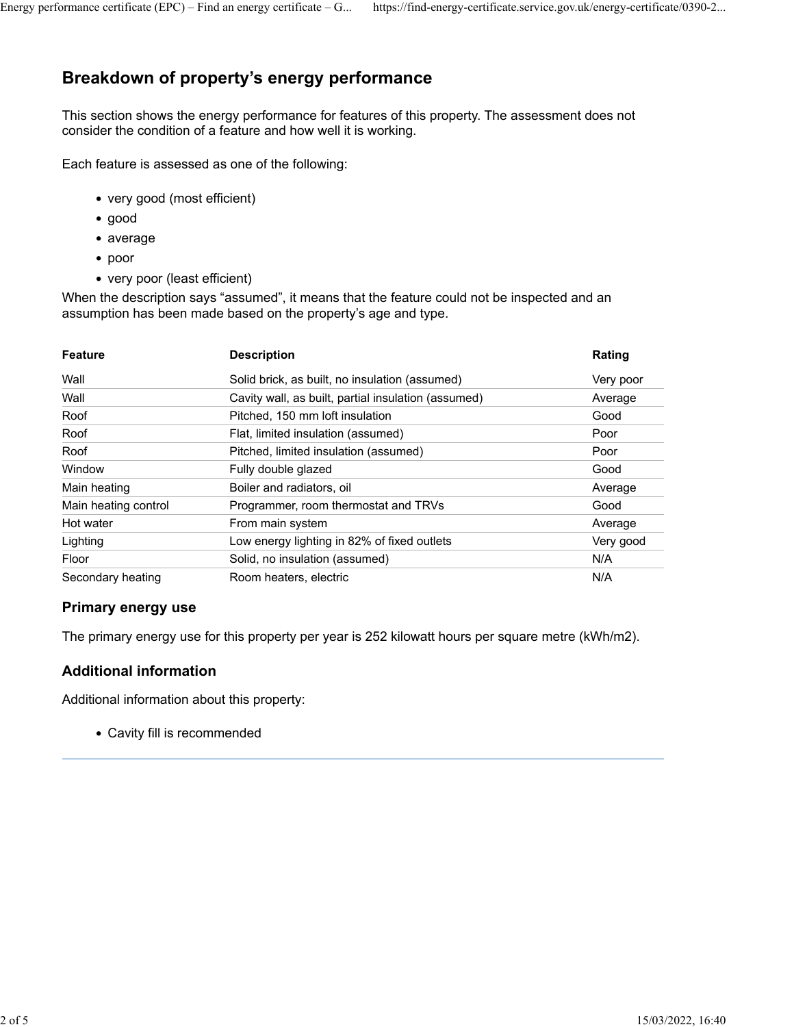# **Breakdown of property's energy performance**

This section shows the energy performance for features of this property. The assessment does not consider the condition of a feature and how well it is working.

Each feature is assessed as one of the following:

- very good (most efficient)
- good
- average
- poor
- very poor (least efficient)

When the description says "assumed", it means that the feature could not be inspected and an assumption has been made based on the property's age and type.

| <b>Feature</b>       | <b>Description</b>                                  | Rating    |
|----------------------|-----------------------------------------------------|-----------|
| Wall                 | Solid brick, as built, no insulation (assumed)      | Very poor |
| Wall                 | Cavity wall, as built, partial insulation (assumed) | Average   |
| Roof                 | Pitched, 150 mm loft insulation                     | Good      |
| Roof                 | Flat, limited insulation (assumed)                  | Poor      |
| Roof                 | Pitched, limited insulation (assumed)               | Poor      |
| Window               | Fully double glazed                                 | Good      |
| Main heating         | Boiler and radiators, oil                           | Average   |
| Main heating control | Programmer, room thermostat and TRVs                | Good      |
| Hot water            | From main system                                    | Average   |
| Lighting             | Low energy lighting in 82% of fixed outlets         | Very good |
| Floor                | Solid, no insulation (assumed)                      | N/A       |
| Secondary heating    | Room heaters, electric                              | N/A       |

#### **Primary energy use**

The primary energy use for this property per year is 252 kilowatt hours per square metre (kWh/m2).

#### **Additional information**

Additional information about this property:

• Cavity fill is recommended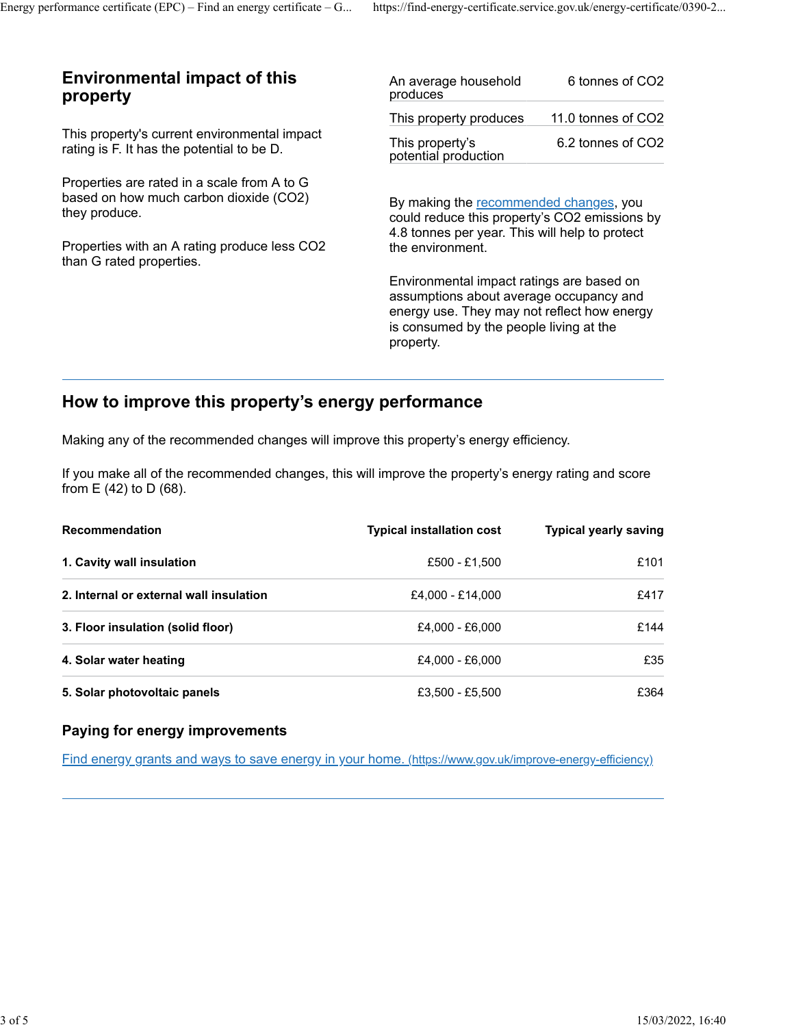## **Environmental impact of this property**

This property's current environmental impact rating is F. It has the potential to be D.

Properties are rated in a scale from A to G based on how much carbon dioxide (CO2) they produce.

Properties with an A rating produce less CO2 than G rated properties.

| An average household<br>produces        | 6 tonnes of CO2    |
|-----------------------------------------|--------------------|
| This property produces                  | 11.0 tonnes of CO2 |
| This property's<br>potential production | 6.2 tonnes of CO2  |

By making the **recommended** changes, you could reduce this property's CO2 emissions by 4.8 tonnes per year. This will help to protect the environment.

Environmental impact ratings are based on assumptions about average occupancy and energy use. They may not reflect how energy is consumed by the people living at the property.

# **How to improve this property's energy performance**

Making any of the recommended changes will improve this property's energy efficiency.

If you make all of the recommended changes, this will improve the property's energy rating and score from  $E(42)$  to  $D(68)$ .

| <b>Recommendation</b>                   | <b>Typical installation cost</b> | <b>Typical yearly saving</b> |
|-----------------------------------------|----------------------------------|------------------------------|
| 1. Cavity wall insulation               | £500 - £1.500                    | £101                         |
| 2. Internal or external wall insulation | £4,000 - £14,000                 | £417                         |
| 3. Floor insulation (solid floor)       | £4,000 - £6,000                  | £144                         |
| 4. Solar water heating                  | £4.000 - £6.000                  | £35                          |
| 5. Solar photovoltaic panels            | $£3,500 - £5,500$                | £364                         |

### **Paying for energy improvements**

[Find energy grants and ways to save energy in your home. \(https://www.gov.uk/improve-energy-efficiency\)](https://www.gov.uk/improve-energy-efficiency)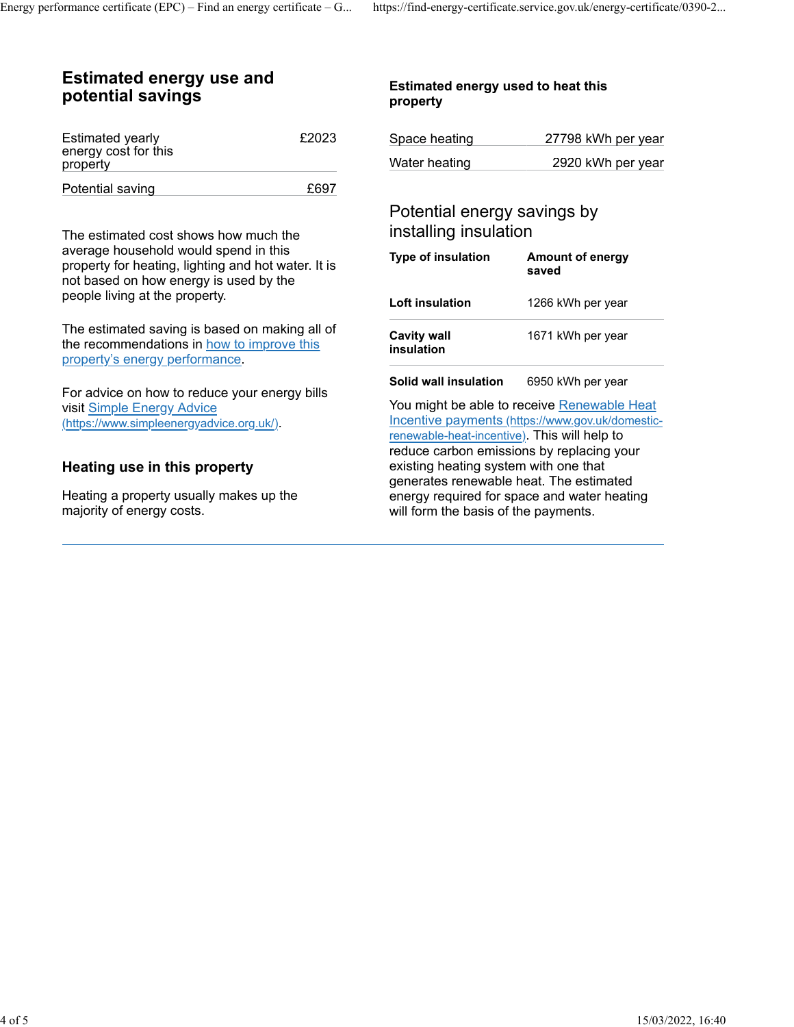## **Estimated energy use and potential savings**

| <b>Estimated yearly</b><br>energy cost for this<br>property | £2023 |
|-------------------------------------------------------------|-------|
| Potential saving                                            | £697  |

The estimated cost shows how much the average household would spend in this property for heating, lighting and hot water. It is not based on how energy is used by the people living at the property.

The estimated saving is based on making all of the recommendations in [how to improve this](https://find-energy-certificate.service.gov.uk/energy-certificate/0390-2887-5080-2629-3241?print=true#recommendations) [property's energy performance.](https://find-energy-certificate.service.gov.uk/energy-certificate/0390-2887-5080-2629-3241?print=true#recommendations)

For advice on how to reduce your energy bills visit [Simple Energy Advice](https://www.simpleenergyadvice.org.uk/) [\(https://www.simpleenergyadvice.org.uk/\).](https://www.simpleenergyadvice.org.uk/)

### **Heating use in this property**

Heating a property usually makes up the majority of energy costs.

### **Estimated energy used to heat this property**

| Space heating | 27798 kWh per year |
|---------------|--------------------|
| Water heating | 2920 kWh per year  |

## Potential energy savings by installing insulation

| <b>Type of insulation</b>        | <b>Amount of energy</b><br>saved |
|----------------------------------|----------------------------------|
| Loft insulation                  | 1266 kWh per year                |
| <b>Cavity wall</b><br>insulation | 1671 kWh per year                |
| Solid wall insulation            | 6950 kWh per year                |

You might be able to receive [Renewable Heat](https://www.gov.uk/domestic-renewable-heat-incentive) [Incentive payments \(https://www.gov.uk/domestic](https://www.gov.uk/domestic-renewable-heat-incentive)[renewable-heat-incentive\).](https://www.gov.uk/domestic-renewable-heat-incentive) This will help to reduce carbon emissions by replacing your existing heating system with one that generates renewable heat. The estimated energy required for space and water heating will form the basis of the payments.